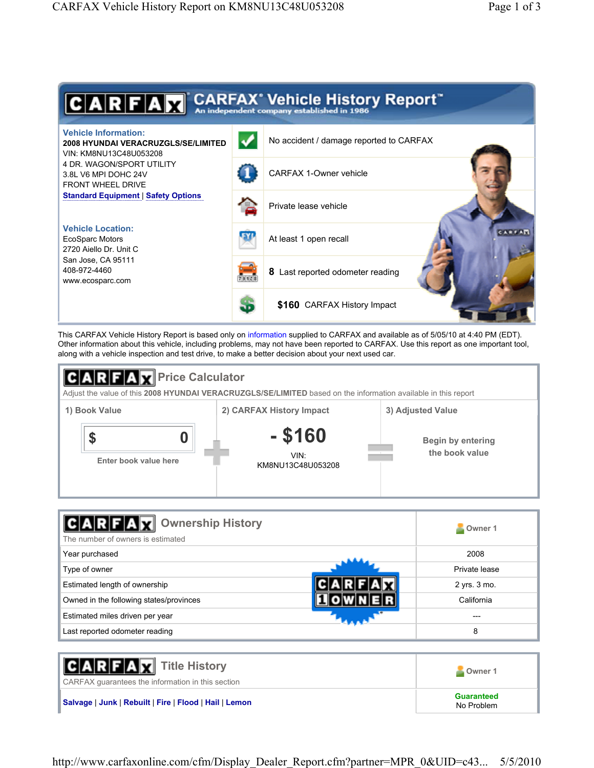

This CARFAX Vehicle History Report is based only on information supplied to CARFAX and available as of 5/05/10 at 4:40 PM (EDT). Other information about this vehicle, including problems, may not have been reported to CARFAX. Use this report as one important tool, along with a vehicle inspection and test drive, to make a better decision about your next used car.



| <b>Ownership History</b><br><b>ITALY</b><br>The number of owners is estimated | Owner 1       |
|-------------------------------------------------------------------------------|---------------|
| Year purchased                                                                | 2008          |
| Type of owner                                                                 | Private lease |
| Estimated length of ownership                                                 | 2 yrs. 3 mo.  |
| Owned in the following states/provinces                                       | California    |
| Estimated miles driven per year                                               | ---           |
| Last reported odometer reading                                                | 8             |

| <b>CARFAX</b> Title History<br>CARFAX quarantees the information in this section | Owner 1                  |
|----------------------------------------------------------------------------------|--------------------------|
| Salvage   Junk   Rebuilt   Fire   Flood   Hail   Lemon                           | Guaranteed<br>No Problem |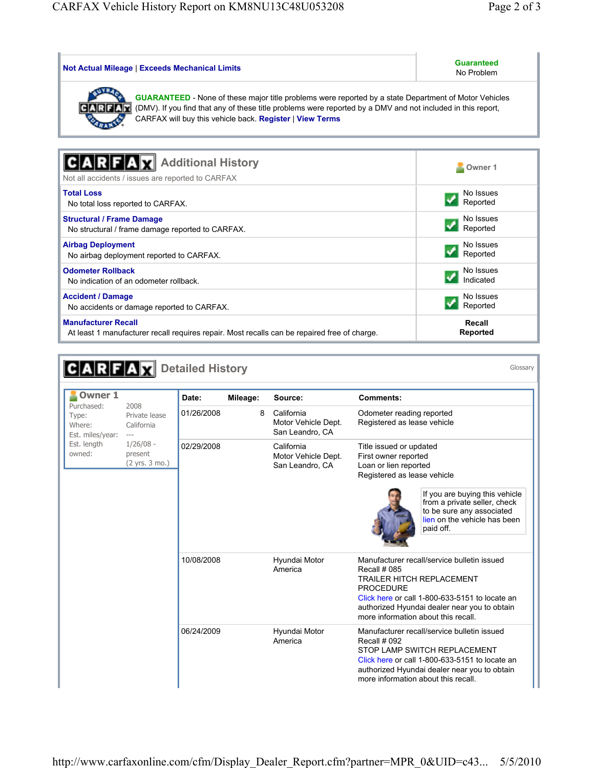| <b>Not Actual Mileage   Exceeds Mechanical Limits</b>                                                                                                                                                                                                                                   | <b>Guaranteed</b><br>No Problem |  |
|-----------------------------------------------------------------------------------------------------------------------------------------------------------------------------------------------------------------------------------------------------------------------------------------|---------------------------------|--|
| <b>GUARANTEED</b> - None of these major title problems were reported by a state Department of Motor Vehicles<br>(DMV). If you find that any of these title problems were reported by a DMV and not included in this report,<br>CARFAX will buy this vehicle back. Register   View Terms |                                 |  |
|                                                                                                                                                                                                                                                                                         |                                 |  |
| <b>Additional History</b><br>Not all accidents / issues are reported to CARFAX                                                                                                                                                                                                          | Owner 1                         |  |
| <b>Total Loss</b>                                                                                                                                                                                                                                                                       | No Issues                       |  |
| No total loss reported to CARFAX.                                                                                                                                                                                                                                                       | Reported                        |  |
| <b>Structural / Frame Damage</b>                                                                                                                                                                                                                                                        | No Issues                       |  |
| No structural / frame damage reported to CARFAX.                                                                                                                                                                                                                                        | Reported                        |  |
| <b>Airbag Deployment</b>                                                                                                                                                                                                                                                                | No Issues                       |  |
| No airbag deployment reported to CARFAX.                                                                                                                                                                                                                                                | Reported                        |  |
| <b>Odometer Rollback</b>                                                                                                                                                                                                                                                                | No Issues                       |  |
| No indication of an odometer rollback.                                                                                                                                                                                                                                                  | Indicated                       |  |
| <b>Accident / Damage</b>                                                                                                                                                                                                                                                                | No Issues                       |  |
| No accidents or damage reported to CARFAX.                                                                                                                                                                                                                                              | Reported                        |  |
| <b>Manufacturer Recall</b>                                                                                                                                                                                                                                                              | Recall                          |  |
| At least 1 manufacturer recall requires repair. Most recalls can be repaired free of charge.                                                                                                                                                                                            | <b>Reported</b>                 |  |

| <b>Owner 1</b><br>Purchased:<br>2008<br>Type:<br>Where:<br>Est. miles/year:<br>$---$ |                                          | Date:      | Mileage: | Source:                                              | <b>Comments:</b>                                                                                                                                                                                                                                             |
|--------------------------------------------------------------------------------------|------------------------------------------|------------|----------|------------------------------------------------------|--------------------------------------------------------------------------------------------------------------------------------------------------------------------------------------------------------------------------------------------------------------|
|                                                                                      | Private lease<br>California              | 01/26/2008 | 8        | California<br>Motor Vehicle Dept.<br>San Leandro, CA | Odometer reading reported<br>Registered as lease vehicle                                                                                                                                                                                                     |
| Est. length<br>owned:                                                                | $1/26/08 -$<br>present<br>(2 yrs. 3 mo.) | 02/29/2008 |          | California<br>Motor Vehicle Dept.<br>San Leandro, CA | Title issued or updated<br>First owner reported<br>Loan or lien reported<br>Registered as lease vehicle<br>If you are buying this vehicle<br>from a private seller, check<br>to be sure any associated<br>lien on the vehicle has been<br>paid off.          |
|                                                                                      |                                          | 10/08/2008 |          | Hyundai Motor<br>America                             | Manufacturer recall/service bulletin issued<br>Recall # 085<br><b>TRAILER HITCH REPLACEMENT</b><br><b>PROCEDURE</b><br>Click here or call 1-800-633-5151 to locate an<br>authorized Hyundai dealer near you to obtain<br>more information about this recall. |
|                                                                                      |                                          | 06/24/2009 |          | Hyundai Motor<br>America                             | Manufacturer recall/service bulletin issued<br>Recall # 092<br>STOP LAMP SWITCH REPLACEMENT<br>Click here or call 1-800-633-5151 to locate an<br>authorized Hyundai dealer near you to obtain<br>more information about this recall.                         |